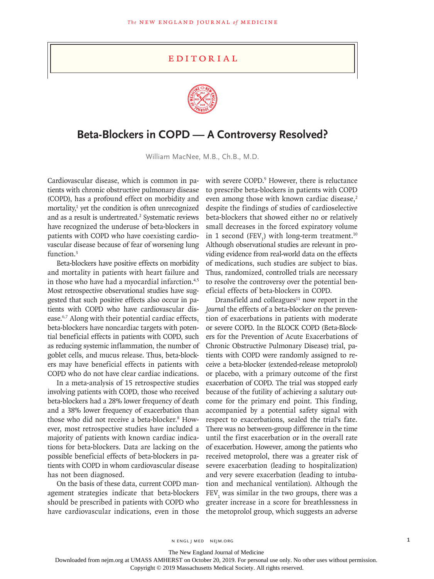## **EDITORIAL**



## **Beta-Blockers in COPD — A Controversy Resolved?**

William MacNee, M.B., Ch.B., M.D.

Cardiovascular disease, which is common in patients with chronic obstructive pulmonary disease (COPD), has a profound effect on morbidity and mortality,<sup>1</sup> yet the condition is often unrecognized and as a result is undertreated.<sup>2</sup> Systematic reviews have recognized the underuse of beta-blockers in patients with COPD who have coexisting cardiovascular disease because of fear of worsening lung function.<sup>3</sup>

Beta-blockers have positive effects on morbidity and mortality in patients with heart failure and in those who have had a myocardial infarction.<sup>4,5</sup> Most retrospective observational studies have suggested that such positive effects also occur in patients with COPD who have cardiovascular disease.6,7 Along with their potential cardiac effects, beta-blockers have noncardiac targets with potential beneficial effects in patients with COPD, such as reducing systemic inflammation, the number of goblet cells, and mucus release. Thus, beta-blockers may have beneficial effects in patients with COPD who do not have clear cardiac indications.

In a meta-analysis of 15 retrospective studies involving patients with COPD, those who received beta-blockers had a 28% lower frequency of death and a 38% lower frequency of exacerbation than those who did not receive a beta-blocker.<sup>8</sup> However, most retrospective studies have included a majority of patients with known cardiac indications for beta-blockers. Data are lacking on the possible beneficial effects of beta-blockers in patients with COPD in whom cardiovascular disease has not been diagnosed.

On the basis of these data, current COPD management strategies indicate that beta-blockers should be prescribed in patients with COPD who have cardiovascular indications, even in those

with severe COPD.<sup>9</sup> However, there is reluctance to prescribe beta-blockers in patients with COPD even among those with known cardiac disease,<sup>2</sup> despite the findings of studies of cardioselective beta-blockers that showed either no or relatively small decreases in the forced expiratory volume in 1 second (FEV<sub>1</sub>) with long-term treatment.<sup>10</sup> Although observational studies are relevant in providing evidence from real-world data on the effects of medications, such studies are subject to bias. Thus, randomized, controlled trials are necessary to resolve the controversy over the potential beneficial effects of beta-blockers in COPD.

Dransfield and colleagues $11$  now report in the *Journal* the effects of a beta-blocker on the prevention of exacerbations in patients with moderate or severe COPD. In the BLOCK COPD (Beta-Blockers for the Prevention of Acute Exacerbations of Chronic Obstructive Pulmonary Disease) trial, patients with COPD were randomly assigned to receive a beta-blocker (extended-release metoprolol) or placebo, with a primary outcome of the first exacerbation of COPD. The trial was stopped early because of the futility of achieving a salutary outcome for the primary end point. This finding, accompanied by a potential safety signal with respect to exacerbations, sealed the trial's fate. There was no between-group difference in the time until the first exacerbation or in the overall rate of exacerbation. However, among the patients who received metoprolol, there was a greater risk of severe exacerbation (leading to hospitalization) and very severe exacerbation (leading to intubation and mechanical ventilation). Although the  $FEV<sub>1</sub>$  was similar in the two groups, there was a greater increase in a score for breathlessness in the metoprolol group, which suggests an adverse

n engl j med nejm.org 1

The New England Journal of Medicine

Downloaded from nejm.org at UMASS AMHERST on October 20, 2019. For personal use only. No other uses without permission.

Copyright © 2019 Massachusetts Medical Society. All rights reserved.